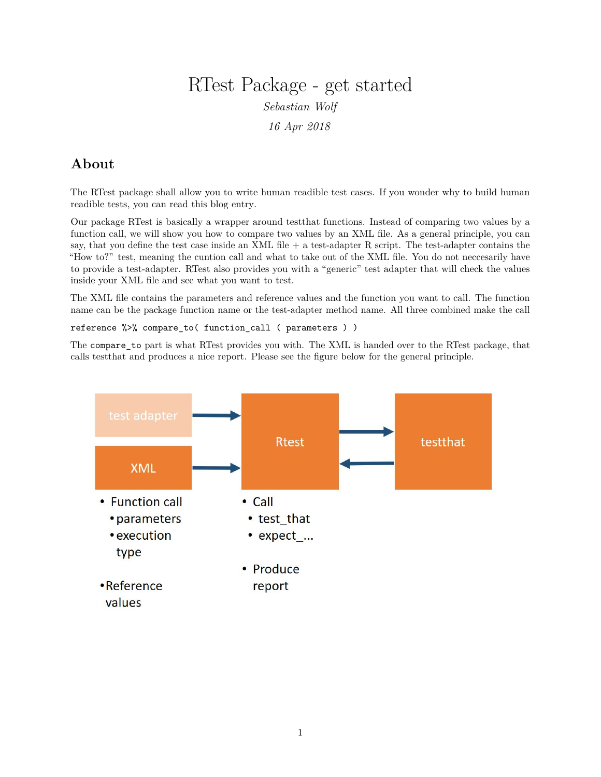# RTest Package - get started *Sebastian Wolf 16 Apr 2018*

## **About**

The RTest package shall allow you to write human readible test cases. If you wonder why to build human readible tests, you can read this blog entry.

Our package RTest is basically a wrapper around testthat functions. Instead of comparing two values by a function call, we will show you how to compare two values by an XML file. As a general principle, you can say, that you define the test case inside an XML file + a test-adapter R script. The test-adapter contains the "How to?" test, meaning the cuntion call and what to take out of the XML file. You do not neccesarily have to provide a test-adapter. RTest also provides you with a "generic" test adapter that will check the values inside your XML file and see what you want to test.

The XML file contains the parameters and reference values and the function you want to call. The function name can be the package function name or the test-adapter method name. All three combined make the call

reference %>% compare\_to( function\_call ( parameters ) )

The compare\_to part is what RTest provides you with. The XML is handed over to the RTest package, that calls testthat and produces a nice report. Please see the figure below for the general principle.

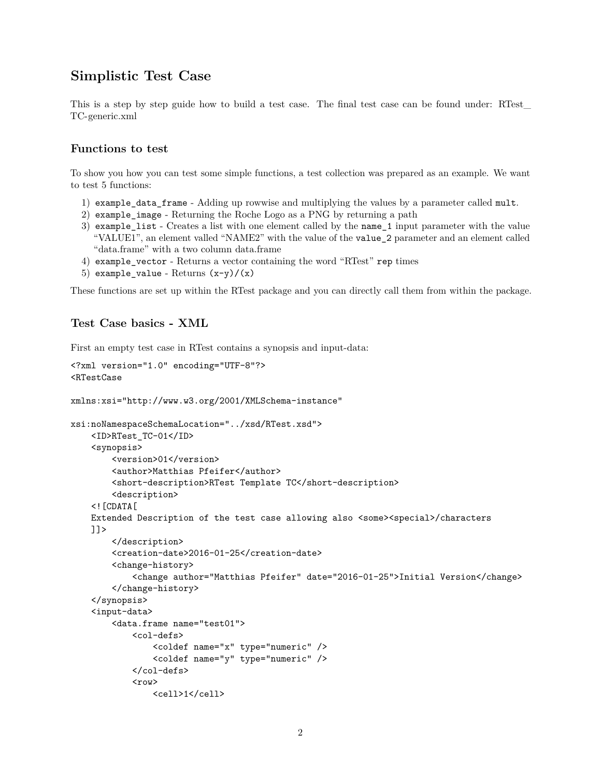## **Simplistic Test Case**

This is a step by step guide how to build a test case. The final test case can be found under: RTest\_ TC-generic.xml

### **Functions to test**

To show you how you can test some simple functions, a test collection was prepared as an example. We want to test 5 functions:

- 1) example\_data\_frame Adding up rowwise and multiplying the values by a parameter called mult.
- 2) example\_image Returning the Roche Logo as a PNG by returning a path
- 3) example\_list Creates a list with one element called by the name\_1 input parameter with the value "VALUE1", an element valled "NAME2" with the value of the value\_2 parameter and an element called "data.frame" with a two column data.frame
- 4) example\_vector Returns a vector containing the word "RTest" rep times
- 5) example\_value Returns  $(x-y)/(x)$

These functions are set up within the RTest package and you can directly call them from within the package.

## **Test Case basics - XML**

First an empty test case in RTest contains a synopsis and input-data:

```
<?xml version="1.0" encoding="UTF-8"?>
<RTestCase
xmlns:xsi="http://www.w3.org/2001/XMLSchema-instance"
xsi:noNamespaceSchemaLocation="../xsd/RTest.xsd">
    <ID>RTest_TC-01</ID>
    <synopsis>
        <version>01</version>
        <author>Matthias Pfeifer</author>
        <short-description>RTest Template TC</short-description>
        <description>
    <![CDATA[
   Extended Description of the test case allowing also <some><special>/characters
   ]]>
        </description>
        <creation-date>2016-01-25</creation-date>
        <change-history>
            <change author="Matthias Pfeifer" date="2016-01-25">Initial Version</change>
        </change-history>
    </synopsis>
    <input-data>
        <data.frame name="test01">
            <col-defs>
                <coldef name="x" type="numeric" />
                <coldef name="y" type="numeric" />
            </col-defs>
            <row>
                <cell>1</cell>
```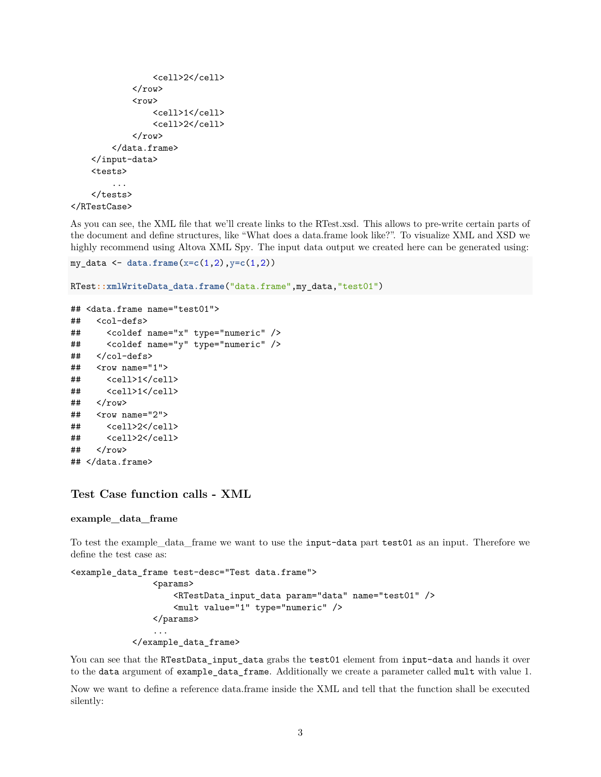```
<cell>2</cell>
              \langlerow\rangle<row>
                   <cell>1</cell>
                   <cell>2</cell>
              \langlerow>
         </data.frame>
    </input-data>
     <tests>
         ...
     </tests>
</RTestCase>
```
As you can see, the XML file that we'll create links to the RTest.xsd. This allows to pre-write certain parts of the document and define structures, like "What does a data.frame look like?". To visualize XML and XSD we highly recommend using Altova XML Spy. The input data output we created here can be generated using:

```
my_data <- data.frame(x=c(1,2),y=c(1,2))
```

```
RTest::xmlWriteData_data.frame("data.frame",my_data,"test01")
```

```
## <data.frame name="test01">
## <col-defs>
## <coldef name="x" type="numeric" />
## <coldef name="y" type="numeric" />
## </col-defs>
## <row name="1">
## <cell>1</cell>
## <cell>1</cell>
## </row>
## <row name="2">
## <cell>2</cell>
## <cell>2</cell>
\## </row>
## </data.frame>
```
#### **Test Case function calls - XML**

#### **example\_data\_frame**

To test the example\_data\_frame we want to use the input-data part test01 as an input. Therefore we define the test case as:

```
<example_data_frame test-desc="Test data.frame">
                <params>
                    <RTestData_input_data param="data" name="test01" />
                    <mult value="1" type="numeric" />
                </params>
                ...
            </example_data_frame>
```
You can see that the RTestData input data grabs the test01 element from input-data and hands it over to the data argument of example\_data\_frame. Additionally we create a parameter called mult with value 1.

Now we want to define a reference data.frame inside the XML and tell that the function shall be executed silently: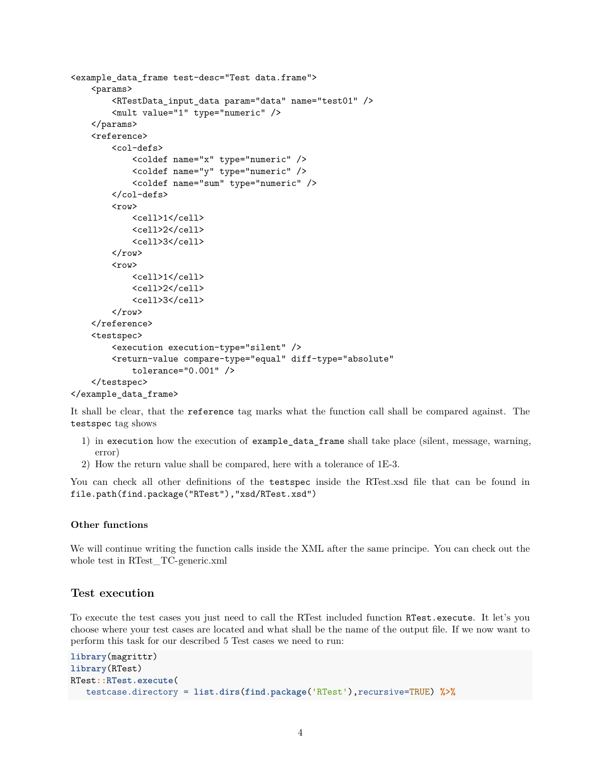```
<example_data_frame test-desc="Test data.frame">
    <params>
        <RTestData_input_data param="data" name="test01" />
        <mult value="1" type="numeric" />
    </params>
    <reference>
        <col-defs>
            <coldef name="x" type="numeric" />
            <coldef name="y" type="numeric" />
            <coldef name="sum" type="numeric" />
        </col-defs>
        <row>
            <cell>1</cell>
            <cell>2</cell>
            <cell>3</cell>
        \langlerow>
        <row><cell>1</cell>
            <cell>2</cell>
            <cell>3</cell>
        \langle/row</reference>
    <testspec>
        <execution execution-type="silent" />
        <return-value compare-type="equal" diff-type="absolute"
            tolerance="0.001" />
    </testspec>
</example_data_frame>
```
It shall be clear, that the reference tag marks what the function call shall be compared against. The testspec tag shows

- 1) in execution how the execution of example\_data\_frame shall take place (silent, message, warning, error)
- 2) How the return value shall be compared, here with a tolerance of 1E-3.

You can check all other definitions of the testspec inside the RTest.xsd file that can be found in file.path(find.package("RTest"),"xsd/RTest.xsd")

#### **Other functions**

We will continue writing the function calls inside the XML after the same principe. You can check out the whole test in RTest\_TC-generic.xml

#### **Test execution**

To execute the test cases you just need to call the RTest included function RTest.execute. It let's you choose where your test cases are located and what shall be the name of the output file. If we now want to perform this task for our described 5 Test cases we need to run:

```
library(magrittr)
library(RTest)
RTest::RTest.execute(
  testcase.directory = list.dirs(find.package('RTest'),recursive=TRUE) %>%
```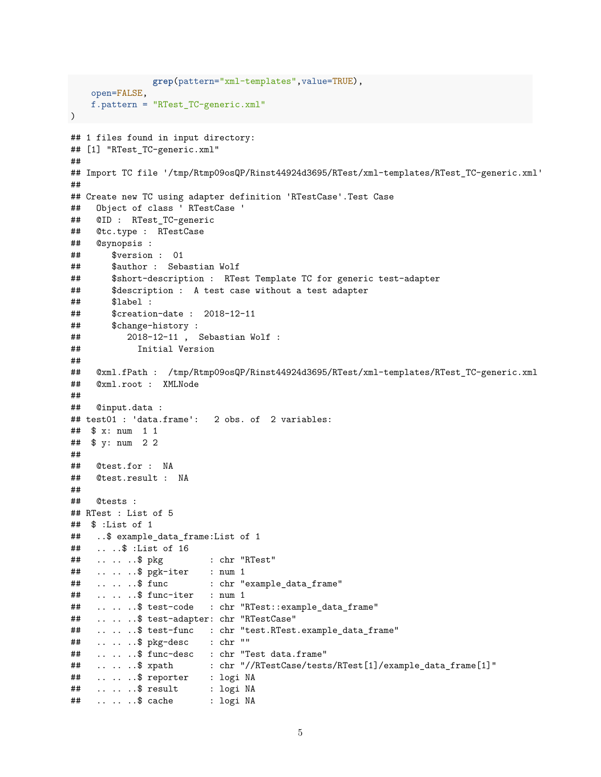```
grep(pattern="xml-templates", value=TRUE),
    open=FALSE,
   f.pattern = "RTest_TC-generic.xml"
\mathcal{L}## 1 files found in input directory:
## [1] "RTest_TC-generic.xml"
#### Import TC file '/tmp/Rtmp09osQP/Rinst44924d3695/RTest/xml-templates/RTest_TC-generic.xml'
#### Create new TC using adapter definition 'RTestCase'.Test Case
    Object of class ' RTestCase '
####@ID : RTest_TC-generic
##Otc.type : RTestCase
##@synopsis :
##
        $version : 01
##$author : Sebastian Wolf
##
        $short-description : RTest Template TC for generic test-adapter
##
        $description : A test case without a test adapter
##
        $label :
##$creation-date : 2018-12-11##$change-history :
##2018-12-11, Sebastian Wolf :
##Initial Version
##\##
     @xml.fPath : /tmp/Rtmp09osQP/Rinst44924d3695/RTest/xml-templates/RTest_TC-generic.xml
##@xml.root : XMLNode
##
##Cinput.data :
## test01 : 'data.frame':
                          2 obs. of 2 variables:
## $ x: num 1 1
## $ y: num 2 2
##@test.for : NA
####@test.result : NA
####@tests :
## RTest : List of 5
## $ :List of 1
##
    ..$ example_data_frame:List of 1
     \ldots ..$ : List of 16
####\ldots \ldots$ pkg
                           : chr "RTest"
\##
     \ldots \ldots $ pgk-iter
                           : num_1##\ldots \ldots$ func
                           : chr "example_data_frame"
##
     \ldots \ldots $ func-iter
                           : num_1##
     .....$ test-code : chr "RTest::example_data_frame"
##
     .....$ test-adapter: chr "RTestCase"
     .....$ test-func : chr "test.RTest.example_data_frame"
####\ldots \ldots \rlap{$\circ$} \ddot{\text{p}} kg-desc
                           : chr ""
##
     .....$ func-desc : chr "Test data.frame"
                           : chr "//RTestCase/tests/RTest[1]/example_data_frame[1]"
##
     \ldots \ldots $ xpath
##
     \ldots \ldots $ reporter
                           : logi NA
##\ldots \ldots $ result
                           : logi NA
##\ldots \ldots$ cache
                           : logi NA
```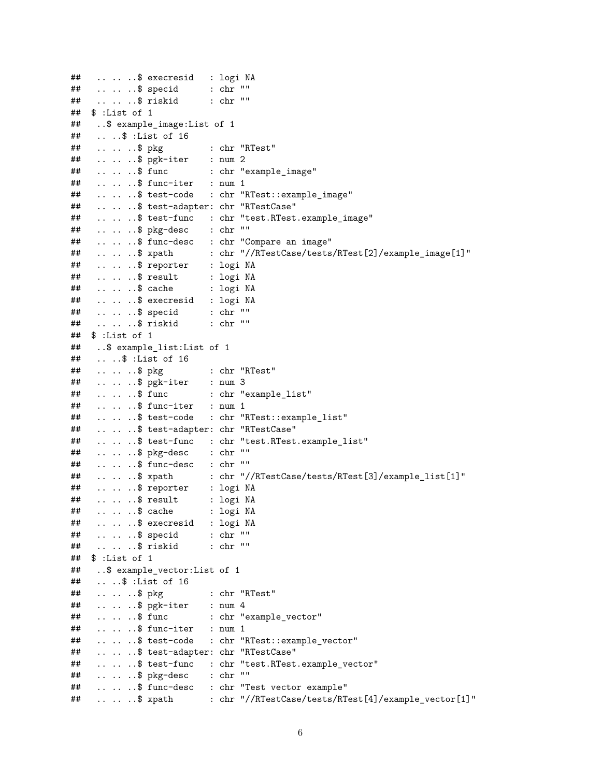```
##......$ execresid : logi NA
\##
   \ldots \ldots $ specid : chr ""
                           : \operatorname{chr} ""
##
    .. .. ..$ riskid
## $ :List of 1
##..$ example_image:List of 1
\##
    \ldots \ldots :List of 16
##: chr "RTest"
     \ldots \ldots $ pkg
     \ldots \ldots $ pgk-iter : num 2
##: chr "example_image"
##\ldots \ldots $ func
##\ldots \ldots $ func-iter : num 1
##.....$ test-code : chr "RTest::example_image"
     .....$ test-adapter: chr "RTestCase"
##
##.....$ test-func : chr "test.RTest.example_image"
##
     \ldots \ldots $ pkg-desc : chr ""
##.....$ func-desc : chr "Compare an image"
##\ldots \ldots $ xpath
                           : chr "//RTestCase/tests/RTest[2]/example_image[1]"
##\ldots \ldots $ reporter
                           : logi NA
##\ldots \ldots $ result
                           : logi NA
                           : logi NA
##\ldots \ldots $ cache
     ......$ execresid : logi NA
##
    \ldots \ldots $ specid : chr ""
####.. .. ..$ riskid
                           : chr ""
   $ :List of 1"\##
    ..$ example list: List of 1
##
##\ldots ..$ : List of 16
##\ldots \ldots$ pkg
                           : chr "RTest"
##
     \ldots \ldots $ pgk-iter
                           : num 3##\ldots \ldots $ func
                          : chr "example_list"
##
     \ldots \ldots $ func-iter : num 1
##.. .. .. $ test-code : chr "RTest::example_list"
     .. .. .. $ test-adapter: chr "RTestCase"
##.. .. .. $ test-func : chr "test.RTest.example_list"
####\ldots \ldots $ pkg-desc : chr ""
     \ldots \ldots $ func-desc : chr ""
##: chr "//RTestCase/tests/RTest[3]/example_list[1]"
##\ldots \ldots \text{\$ xpath}##......$ reporter : logi NA
##
     ......$ result : logi NA
##\ldots \ldots$ cache
                           : logi NA
     .. .. ..$ execresid : logi NA
##\ldots \ldots $ specid : chr ""
##: \operatorname{chr} ""
##\ldots \ldots $ riskid
## $ :List of 1
    ..$ example_vector:List of 1
##\ldots ...$ : List of 16
##
##\cdots \cdots $ pkg
                           : chr "RTest"
##
     \ldots \ldots $ pgk-iter
                           : num 4\ldots \ldots$ func
##: chr "example_vector"
##\ldots \ldots $ func-iter : num 1
     .....$ test-code : chr "RTest::example_vector"
####.....$ test-adapter: chr "RTestCase"
    .....$ test-func : chr "test.RTest.example_vector"
##\##
     \ldots \ldots $ pkg-desc : chr ""
     .....$ func-desc : chr "Test vector example"
##\ldots \ldots $ xpath : chr "//RTestCase/tests/RTest[4]/example_vector[1]"
##
```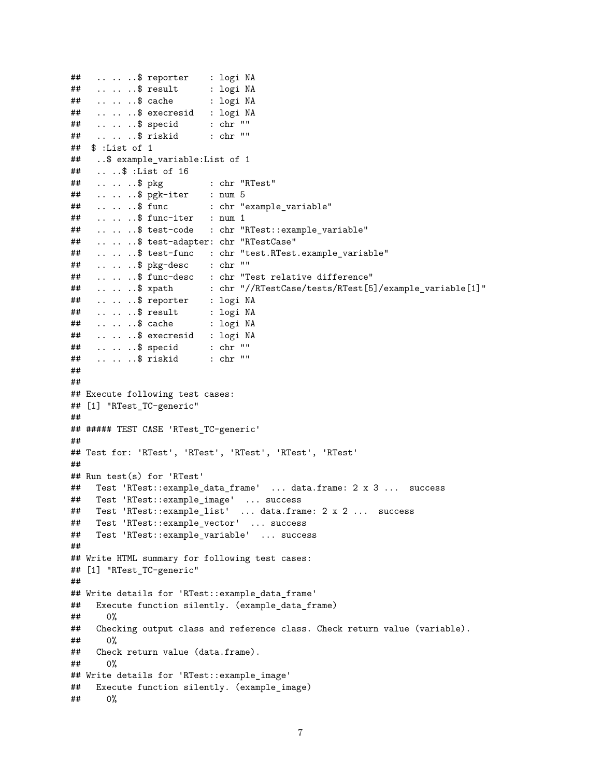```
\##
     \ldots \ldots $ reporter
                           : logi NA
    \ldots \ldots $ result
##: logi NA
##\ldots \ldots$ cache
                           : logi NA
     .. .. ..$ execresid : logi NA
##\ldots \ldots $ specid
                           : chr ""
##: chr"##\ldots \ldots $ riskid
## $ :List of 1
     ..$ example_variable:List of 1
##
##\ldots ..$ : List of 16
##
     \ldots \ldots $ pkg
                           : chr "RTest"
\##
     \ldots \ldots $ pgk-iter : num 5
                           : chr "example_variable"
##
     \ldots \ldots $ func
     \ldots \ldots $ func-iter : num 1
##.. .. .. $ test-code : chr "RTest::example_variable"
##
##.. .. .. $ test-adapter: chr "RTestCase"
##.. .. .. $ test-func : chr "test.RTest.example_variable"
##\ldots \ldots \text{\$} pkg-desc
                           : chr ""
##.....$ func-desc : chr "Test relative difference"
                           : chr "//RTestCase/tests/RTest[5]/example_variable[1]"
##\ldots \ldots $ xpath
##\ldots \ldots $ reporter
                           : logi NA
##\ldots \ldots $ result
                           : logi NA
##\ldots \ldots$ cache
                           : logi NA
     ......$ execresid : logi NA
##\ldots \ldots $ specid
##: \operatorname{chr} ""
##\ldots \ldots $ riskid
                           : chr ""
##
#### Execute following test cases:
## [1] "RTest_TC-generic"
#### ##### TEST CASE 'RTest_TC-generic'
#### Test for: 'RTest', 'RTest', 'RTest', 'RTest', 'RTest'
#### Run test(s) for 'RTest'
    Test 'RTest::example_data_frame' ... data.frame: 2 x 3 ... success
####Test 'RTest::example_image' ... success
     Test 'RTest::example_list' ... data.frame: 2 x 2 ... success
##Test 'RTest::example_vector' ... success
####Test 'RTest::example_variable' ... success
#### Write HTML summary for following test cases:
## [1] "RTest_TC-generic"
##
## Write details for 'RTest::example_data_frame'
     Execute function silently. (example_data_frame)
##
##
       0%
##Checking output class and reference class. Check return value (variable).
##0\%##Check return value (data.frame).
##O<sub>0</sub>## Write details for 'RTest::example_image'
##Execute function silently. (example_image)
##0%
```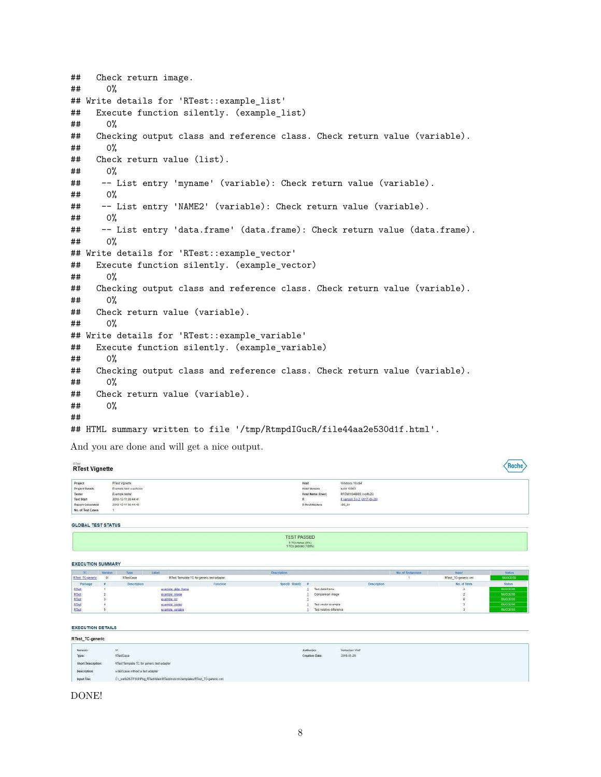## Check return image. ## 0% ## Write details for 'RTest::example\_list' ## Execute function silently. (example\_list) ## 0% ## Checking output class and reference class. Check return value (variable). ## 0% ## Check return value (list). ## 0% ## -- List entry 'myname' (variable): Check return value (variable). ## 0% ## -- List entry 'NAME2' (variable): Check return value (variable). ## 0% ## -- List entry 'data.frame' (data.frame): Check return value (data.frame). ## 0% ## Write details for 'RTest::example\_vector' ## Execute function silently. (example\_vector) ## 0% ## Checking output class and reference class. Check return value (variable). ## 0% ## Check return value (variable). ## 0% ## Write details for 'RTest::example\_variable' ## Execute function silently. (example\_variable) ## 0% ## Checking output class and reference class. Check return value (variable). ## 0% ## Check return value (variable). ## 0% ## ## HTML summary written to file '/tmp/RtmpdIGucR/file44aa2e530d1f.html'.

And you are done and will get a nice output.

#### Roche **RTest Vignette** Project<br>Project Details<br>Tester R'Test Vignate<br>Exemple fact execution<br>Exemple factor<br>2018-12-11 09:44:43<br>2018-12-11 09:44:43 Windows 10:x64<br>build 15063 Host<br>Host Version build 15063<br>RP2MW948885 (wolfs25)<br>R version 3.4.2 (2017-09-28)<br>IBB\_B4 Host Name (User) Test Start R Architecture Report Generated No. of Test Cases

GLOBAL TEST STATUS

| TEST PASSED          |  |
|----------------------|--|
|                      |  |
| 0 TCs fated (0%)     |  |
| 1 TCs passed (150%). |  |

#### **EXECUTION SUMMARY**

| TC.                     | Veraion | Type         | Labol               |                                            | Discription   |                                        |             | No. of Testgroups |                      | <b>Status</b>  |
|-------------------------|---------|--------------|---------------------|--------------------------------------------|---------------|----------------------------------------|-------------|-------------------|----------------------|----------------|
| <b>RTest TC-generic</b> | OT.     | RitestCase   |                     | RTest Template TC for generic test-adapter |               |                                        |             |                   | RTest_TC-genesic.xml | <b>SUDDESS</b> |
| <b>Package</b>          |         | Description. |                     | Fistclion                                  | SpeciD RisktD |                                        | Description |                   | No. of Tests         | <b>Status</b>  |
| RTest                   |         |              | grantele data frame |                                            |               | Test data trame                        |             |                   |                      | SUCCESS        |
| RTest                   |         |              | example image       |                                            |               | Compare at image                       |             |                   |                      | 9100333        |
| <b>RTest</b>            |         |              | stample list        |                                            |               | the state of the second control of the |             |                   |                      | <b>SUCCESS</b> |
| RTest                   |         |              | example vector.     |                                            |               | Test vector exproje                    |             |                   |                      | SUCCESS.       |
| <b>RTest</b>            |         |              | express variable    |                                            |               | Test relative difference               |             |                   |                      | <b>SUCCESS</b> |

**EXECUTION DETAILS** 

| RTest_TC-generic   |                                                                          |                              |                              |  |  |  |  |  |
|--------------------|--------------------------------------------------------------------------|------------------------------|------------------------------|--|--|--|--|--|
| Version:<br>Туре:  | 01<br><b>RTestCase</b>                                                   | Author(s):<br>Creation Date: | Sabastian Wolf<br>2016-01-25 |  |  |  |  |  |
| Short Description: | RTest Template TC for generic test-adapter                               |                              |                              |  |  |  |  |  |
| Description:       | A test case without a test adapter                                       |                              |                              |  |  |  |  |  |
| input File:        | C1_wolfz25\TFB/RIPkg_RTestMamRTestVnstVml-templates/RTest_TC-generic.vml |                              |                              |  |  |  |  |  |

DONE!